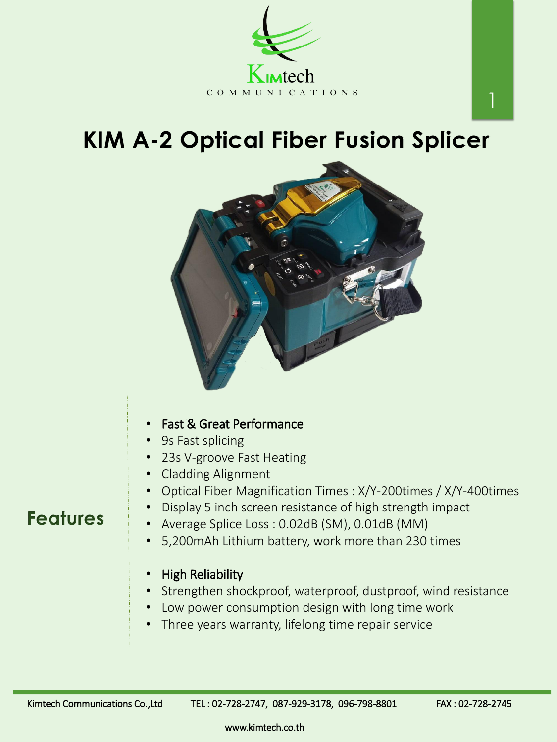## **KIM A-2 Optical Fiber Fusion Splicer**





## **Features**

www.kimtech.co.th

1

- 5,200mAh Lithium battery, work more than 230 times
- High Reliability
- Strengthen shockproof, waterproof, dustproof, wind resistance
- Low power consumption design with long time work
- Three years warranty, lifelong time repair service

Kimtech Communications Co.,Ltd TEL: 02-728-2747, 087-929-3178, 096-798-8801 FAX: 02-728-2745

- Fast & Great Performance
- 9s Fast splicing
- 23s V-groove Fast Heating
- Cladding Alignment
- Optical Fiber Magnification Times : X/Y-200times / X/Y-400times
- Display 5 inch screen resistance of high strength impact
- Average Splice Loss : 0.02dB (SM), 0.01dB (MM)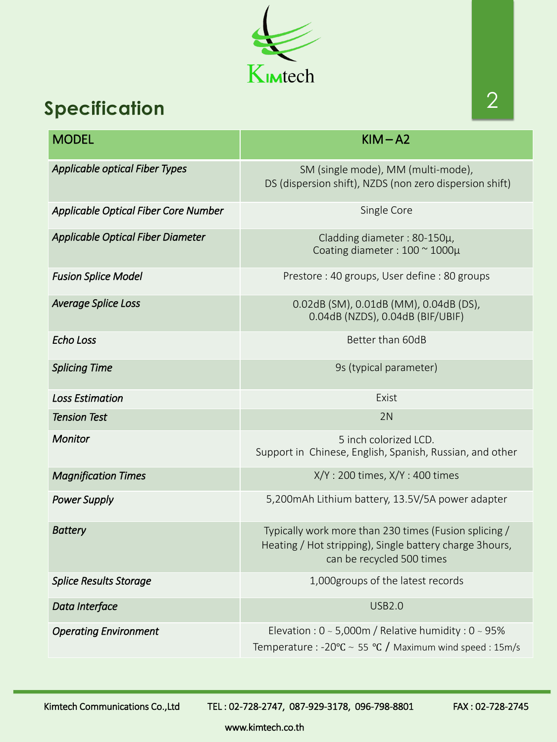www.kimtech.co.th



## **Specification**

| <b>MODEL</b>                                | $KIM-A2$                                                                                      |
|---------------------------------------------|-----------------------------------------------------------------------------------------------|
| <b>Applicable optical Fiber Types</b>       | SM (single mode), MM (multi-mode),<br>DS (dispersion shift), NZDS (non zero dispersion shift) |
| <b>Applicable Optical Fiber Core Number</b> | Single Core                                                                                   |
| <b>Applicable Optical Fiber Diameter</b>    | Cladding diameter : $80-150\mu$ ,<br>Coating diameter: 100 ~ 1000µ                            |
| <b>Fusion Splice Model</b>                  | Prestore: 40 groups, User define: 80 groups                                                   |
| <b>Average Splice Loss</b>                  | 0.02dB (SM), 0.01dB (MM), 0.04dB (DS),<br>0.04dB (NZDS), 0.04dB (BIF/UBIF)                    |
| <b>Echo Loss</b>                            | Better than 60dB                                                                              |
| <b>Splicing Time</b>                        | 9s (typical parameter)                                                                        |
| <b>Loss Estimation</b>                      | Exist                                                                                         |
| <b>Tension Test</b>                         | 2N                                                                                            |
| <b>Monitor</b>                              | 5 inch colorized LCD.<br>Support in Chinese, English, Spanish, Russian, and other             |
| <b>Magnification Times</b>                  | $X/Y$ : 200 times, $X/Y$ : 400 times                                                          |
| <b>Power Supply</b>                         | 5,200 mAh Lithium battery, 13.5 V/5A power adapter                                            |

| <b>Battery</b>                | Typically work more than 230 times (Fusion splicing /<br>Heating / Hot stripping), Single battery charge 3hours,<br>can be recycled 500 times |
|-------------------------------|-----------------------------------------------------------------------------------------------------------------------------------------------|
| <b>Splice Results Storage</b> | 1,000 groups of the latest records                                                                                                            |
| Data Interface                | <b>USB2.0</b>                                                                                                                                 |
| <b>Operating Environment</b>  | Elevation : $0 \sim 5,000$ m / Relative humidity : $0 \sim 95\%$<br>Temperature : -20°C ~ 55 °C / Maximum wind speed : 15m/s                  |

Kimtech Communications Co.,Ltd TEL: 02-728-2747, 087-929-3178, 096-798-8801 FAX: 02-728-2745